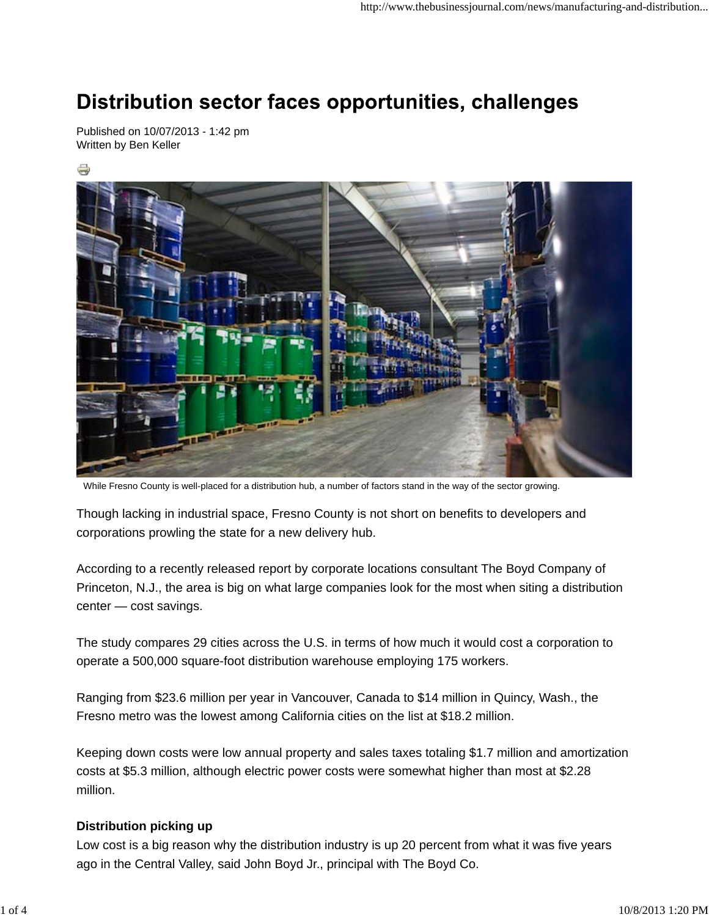# Distribution sector faces opportunities, challenges

Published on 10/07/2013 - 1:42 pm Written by Ben Keller





While Fresno County is well-placed for a distribution hub, a number of factors stand in the way of the sector growing.

Though lacking in industrial space, Fresno County is not short on benefits to developers and corporations prowling the state for a new delivery hub.

According to a recently released report by corporate locations consultant The Boyd Company of Princeton, N.J., the area is big on what large companies look for the most when siting a distribution center — cost savings.

The study compares 29 cities across the U.S. in terms of how much it would cost a corporation to operate a 500,000 square-foot distribution warehouse employing 175 workers.

Ranging from \$23.6 million per year in Vancouver, Canada to \$14 million in Quincy, Wash., the Fresno metro was the lowest among California cities on the list at \$18.2 million.

Keeping down costs were low annual property and sales taxes totaling \$1.7 million and amortization costs at \$5.3 million, although electric power costs were somewhat higher than most at \$2.28 million.

#### **Distribution picking up**

Low cost is a big reason why the distribution industry is up 20 percent from what it was five years ago in the Central Valley, said John Boyd Jr., principal with The Boyd Co.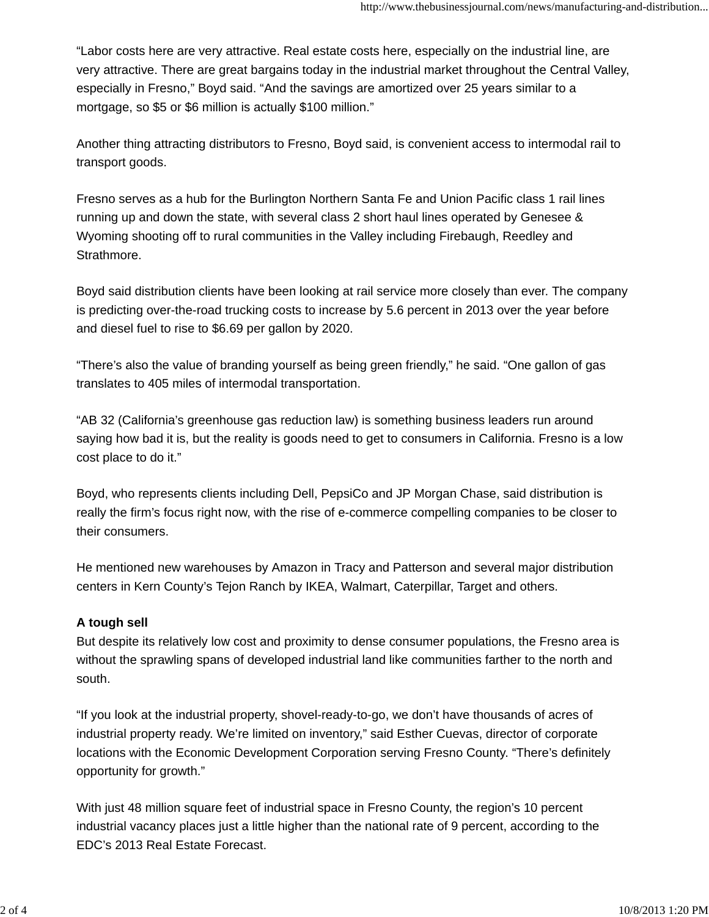"Labor costs here are very attractive. Real estate costs here, especially on the industrial line, are very attractive. There are great bargains today in the industrial market throughout the Central Valley, especially in Fresno," Boyd said. "And the savings are amortized over 25 years similar to a mortgage, so \$5 or \$6 million is actually \$100 million."

Another thing attracting distributors to Fresno, Boyd said, is convenient access to intermodal rail to transport goods.

Fresno serves as a hub for the Burlington Northern Santa Fe and Union Pacific class 1 rail lines running up and down the state, with several class 2 short haul lines operated by Genesee & Wyoming shooting off to rural communities in the Valley including Firebaugh, Reedley and Strathmore.

Boyd said distribution clients have been looking at rail service more closely than ever. The company is predicting over-the-road trucking costs to increase by 5.6 percent in 2013 over the year before and diesel fuel to rise to \$6.69 per gallon by 2020.

"There's also the value of branding yourself as being green friendly," he said. "One gallon of gas translates to 405 miles of intermodal transportation.

"AB 32 (California's greenhouse gas reduction law) is something business leaders run around saying how bad it is, but the reality is goods need to get to consumers in California. Fresno is a low cost place to do it."

Boyd, who represents clients including Dell, PepsiCo and JP Morgan Chase, said distribution is really the firm's focus right now, with the rise of e-commerce compelling companies to be closer to their consumers.

He mentioned new warehouses by Amazon in Tracy and Patterson and several major distribution centers in Kern County's Tejon Ranch by IKEA, Walmart, Caterpillar, Target and others.

## **A tough sell**

But despite its relatively low cost and proximity to dense consumer populations, the Fresno area is without the sprawling spans of developed industrial land like communities farther to the north and south.

"If you look at the industrial property, shovel-ready-to-go, we don't have thousands of acres of industrial property ready. We're limited on inventory," said Esther Cuevas, director of corporate locations with the Economic Development Corporation serving Fresno County. "There's definitely opportunity for growth."

With just 48 million square feet of industrial space in Fresno County, the region's 10 percent industrial vacancy places just a little higher than the national rate of 9 percent, according to the EDC's 2013 Real Estate Forecast.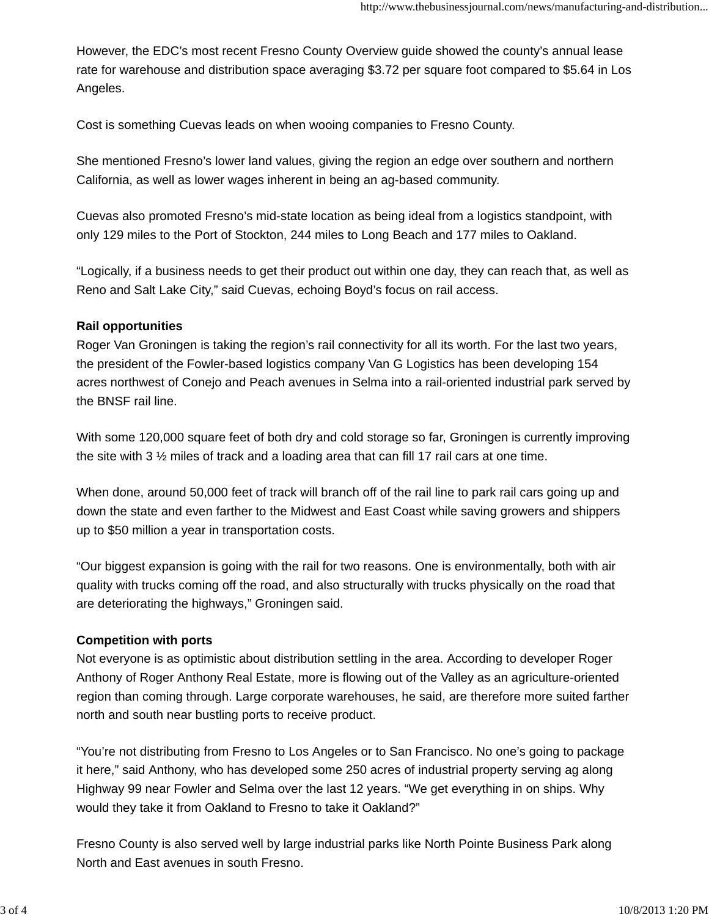However, the EDC's most recent Fresno County Overview guide showed the county's annual lease rate for warehouse and distribution space averaging \$3.72 per square foot compared to \$5.64 in Los Angeles.

Cost is something Cuevas leads on when wooing companies to Fresno County.

She mentioned Fresno's lower land values, giving the region an edge over southern and northern California, as well as lower wages inherent in being an ag-based community.

Cuevas also promoted Fresno's mid-state location as being ideal from a logistics standpoint, with only 129 miles to the Port of Stockton, 244 miles to Long Beach and 177 miles to Oakland.

"Logically, if a business needs to get their product out within one day, they can reach that, as well as Reno and Salt Lake City," said Cuevas, echoing Boyd's focus on rail access.

#### **Rail opportunities**

Roger Van Groningen is taking the region's rail connectivity for all its worth. For the last two years, the president of the Fowler-based logistics company Van G Logistics has been developing 154 acres northwest of Conejo and Peach avenues in Selma into a rail-oriented industrial park served by the BNSF rail line.

With some 120,000 square feet of both dry and cold storage so far, Groningen is currently improving the site with 3 ½ miles of track and a loading area that can fill 17 rail cars at one time.

When done, around 50,000 feet of track will branch off of the rail line to park rail cars going up and down the state and even farther to the Midwest and East Coast while saving growers and shippers up to \$50 million a year in transportation costs.

"Our biggest expansion is going with the rail for two reasons. One is environmentally, both with air quality with trucks coming off the road, and also structurally with trucks physically on the road that are deteriorating the highways," Groningen said.

## **Competition with ports**

Not everyone is as optimistic about distribution settling in the area. According to developer Roger Anthony of Roger Anthony Real Estate, more is flowing out of the Valley as an agriculture-oriented region than coming through. Large corporate warehouses, he said, are therefore more suited farther north and south near bustling ports to receive product.

"You're not distributing from Fresno to Los Angeles or to San Francisco. No one's going to package it here," said Anthony, who has developed some 250 acres of industrial property serving ag along Highway 99 near Fowler and Selma over the last 12 years. "We get everything in on ships. Why would they take it from Oakland to Fresno to take it Oakland?"

Fresno County is also served well by large industrial parks like North Pointe Business Park along North and East avenues in south Fresno.